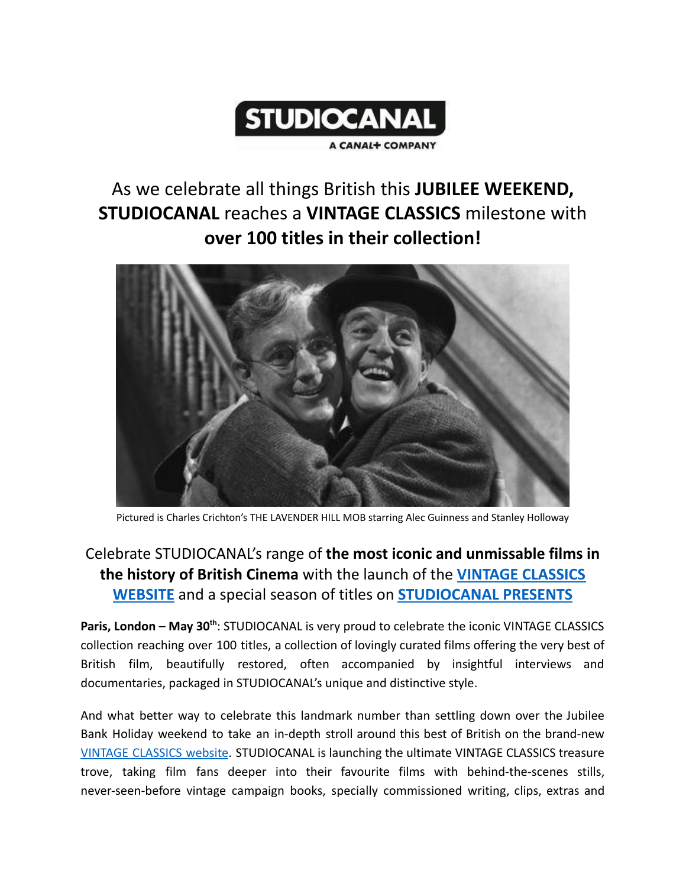

# As we celebrate all things British this **JUBILEE WEEKEND, STUDIOCANAL** reaches a **VINTAGE CLASSICS** milestone with **over 100 titles in their collection!**



Pictured is Charles Crichton's THE LAVENDER HILL MOB starring Alec Guinness and Stanley Holloway

## Celebrate STUDIOCANAL's range of **the most iconic and unmissable films in the history of British Cinema** with the launch of the **[VINTAGE CLASSICS](https://vintageclassicsfilm.co.uk/) [WEBSITE](https://vintageclassicsfilm.co.uk/)** and a special season of titles on **[STUDIOCANAL](https://tv.apple.com/gb/channel/studiocanal-presents/tvs.sbd.1000482) PRESENTS**

**Paris, London** – **May 30th** : STUDIOCANAL is very proud to celebrate the iconic VINTAGE CLASSICS collection reaching over 100 titles, a collection of lovingly curated films offering the very best of British film, beautifully restored, often accompanied by insightful interviews and documentaries, packaged in STUDIOCANAL's unique and distinctive style.

And what better way to celebrate this landmark number than settling down over the Jubilee Bank Holiday weekend to take an in-depth stroll around this best of British on the brand-new VINTAGE [CLASSICS](https://www.vintageclassicsfilm.co.uk) website. STUDIOCANAL is launching the ultimate VINTAGE CLASSICS treasure trove, taking film fans deeper into their favourite films with behind-the-scenes stills, never-seen-before vintage campaign books, specially commissioned writing, clips, extras and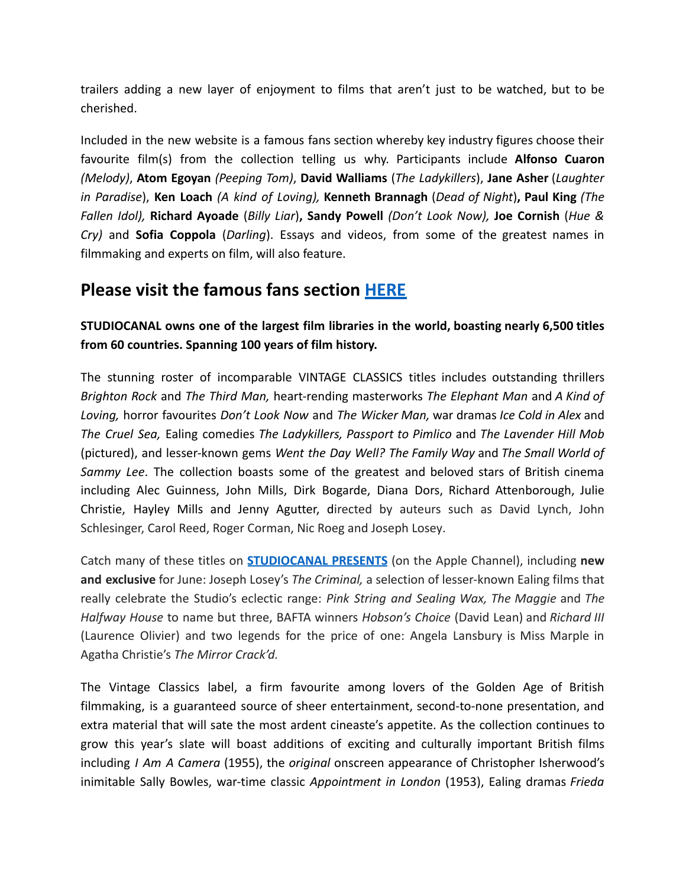trailers adding a new layer of enjoyment to films that aren't just to be watched, but to be cherished.

Included in the new website is a famous fans section whereby key industry figures choose their favourite film(s) from the collection telling us why. Participants include **Alfonso Cuaron** *(Melody)*, **Atom Egoyan** *(Peeping Tom)*, **David Walliams** (*The Ladykillers*), **Jane Asher** (*Laughter in Paradise*), **Ken Loach** *(A kind of Loving),* **Kenneth Brannagh** (*Dead of Night*)**, Paul King** *(The Fallen Idol),* **Richard Ayoade** (*Billy Liar*)**, Sandy Powell** *(Don't Look Now),* **Joe Cornish** (*Hue & Cry)* and **Sofia Coppola** (*Darling*). Essays and videos, from some of the greatest names in filmmaking and experts on film, will also feature.

## **Please visit the famous fans section [HERE](https://vintageclassicsfilm.co.uk/famous-fans/)**

### **STUDIOCANAL owns one of the largest film libraries in the world, boasting nearly 6,500 titles from 60 countries. Spanning 100 years of film history.**

The stunning roster of incomparable VINTAGE CLASSICS titles includes outstanding thrillers *Brighton Rock* and *The Third Man,* heart-rending masterworks *The Elephant Man* and *A Kind of Loving,* horror favourites *Don't Look Now* and *The Wicker Man,* war dramas *Ice Cold in Alex* and *The Cruel Sea,* Ealing comedies *The Ladykillers, Passport to Pimlico* and *The Lavender Hill Mob* (pictured), and lesser-known gems *Went the Day Well? The Family Way* and *The Small World of Sammy Lee*. The collection boasts some of the greatest and beloved stars of British cinema including Alec Guinness, John Mills, Dirk Bogarde, Diana Dors, Richard Attenborough, Julie Christie, Hayley Mills and Jenny Agutter, directed by auteurs such as David Lynch, John Schlesinger, Carol Reed, Roger Corman, Nic Roeg and Joseph Losey.

Catch many of these titles on **[STUDIOCANAL](https://tv.apple.com/gb/channel/studiocanal-presents/tvs.sbd.1000482) PRESENTS** (on the Apple Channel), including **new and exclusive** for June: Joseph Losey's *The Criminal,* a selection of lesser-known Ealing films that really celebrate the Studio's eclectic range: *Pink String and Sealing Wax, The Maggie* and *The Halfway House* to name but three, BAFTA winners *Hobson's Choice* (David Lean) and *Richard III* (Laurence Olivier) and two legends for the price of one: Angela Lansbury is Miss Marple in Agatha Christie's *The Mirror Crack'd.*

The Vintage Classics label, a firm favourite among lovers of the Golden Age of British filmmaking, is a guaranteed source of sheer entertainment, second-to-none presentation, and extra material that will sate the most ardent cineaste's appetite. As the collection continues to grow this year's slate will boast additions of exciting and culturally important British films including *I Am A Camera* (1955), the *original* onscreen appearance of Christopher Isherwood's inimitable Sally Bowles, war-time classic *Appointment in London* (1953), Ealing dramas *Frieda*